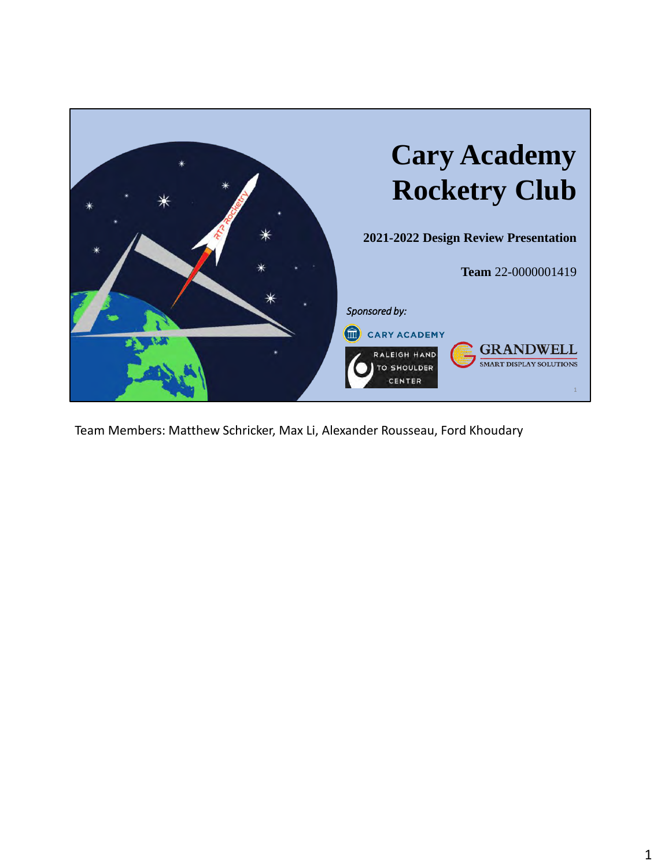

Team Members: Matthew Schricker, Max Li, Alexander Rousseau, Ford Khoudary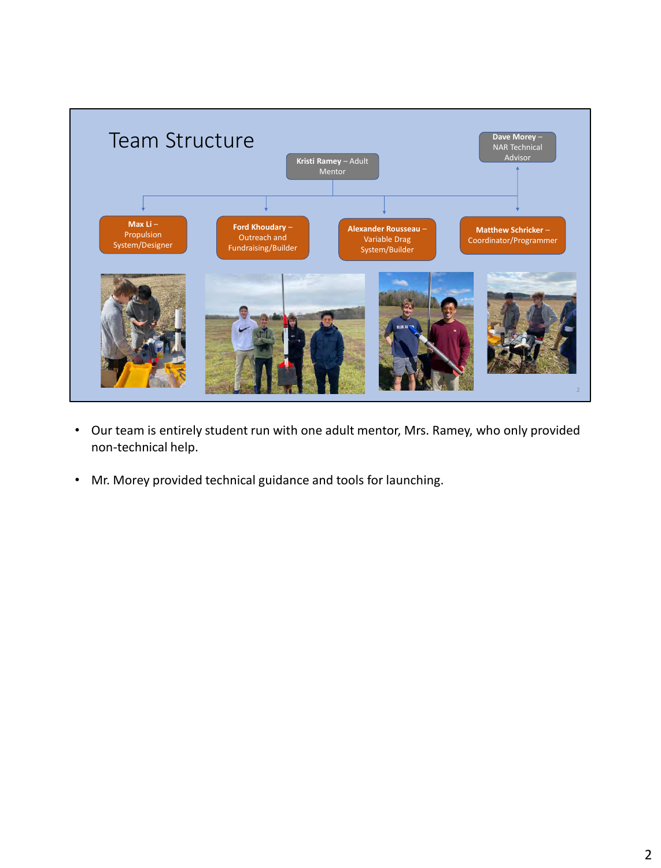

- Our team is entirely student run with one adult mentor, Mrs. Ramey, who only provided non-technical help.
- Mr. Morey provided technical guidance and tools for launching.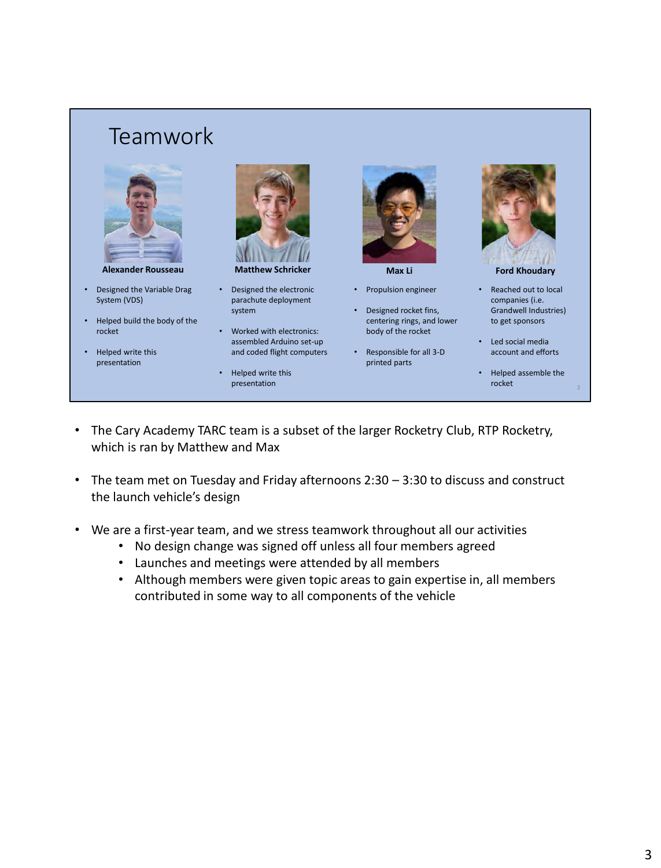### Teamwork



- Designed the Variable Drag System (VDS)
- Helped build the body of the rocket
- Helped write this presentation



**Alexander Rousseau Matthew Schricker Max Li Ford Khoudary**

- Designed the electronic parachute deployment system
- Worked with electronics: assembled Arduino set-up and coded flight computers
- Helped write this presentation



- Propulsion engineer
- Designed rocket fins, centering rings, and lower body of the rocket
- Responsible for all 3-D printed parts



- Reached out to local companies (i.e. Grandwell Industries) to get sponsors
- Led social media account and efforts
- Helped assemble the rocket

- The Cary Academy TARC team is a subset of the larger Rocketry Club, RTP Rocketry, which is ran by Matthew and Max
- The team met on Tuesday and Friday afternoons 2:30 3:30 to discuss and construct the launch vehicle's design
- We are a first-year team, and we stress teamwork throughout all our activities
	- No design change was signed off unless all four members agreed
	- Launches and meetings were attended by all members
	- Although members were given topic areas to gain expertise in, all members contributed in some way to all components of the vehicle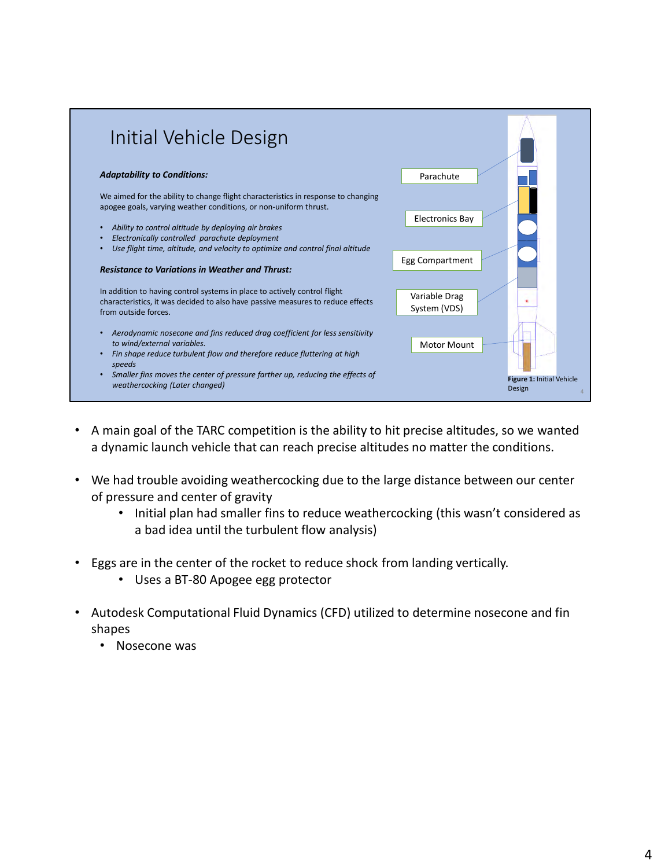

- A main goal of the TARC competition is the ability to hit precise altitudes, so we wanted a dynamic launch vehicle that can reach precise altitudes no matter the conditions.
- We had trouble avoiding weathercocking due to the large distance between our center of pressure and center of gravity
	- Initial plan had smaller fins to reduce weathercocking (this wasn't considered as a bad idea until the turbulent flow analysis)
- Eggs are in the center of the rocket to reduce shock from landing vertically.
	- Uses a BT-80 Apogee egg protector
- Autodesk Computational Fluid Dynamics (CFD) utilized to determine nosecone and fin shapes
	- Nosecone was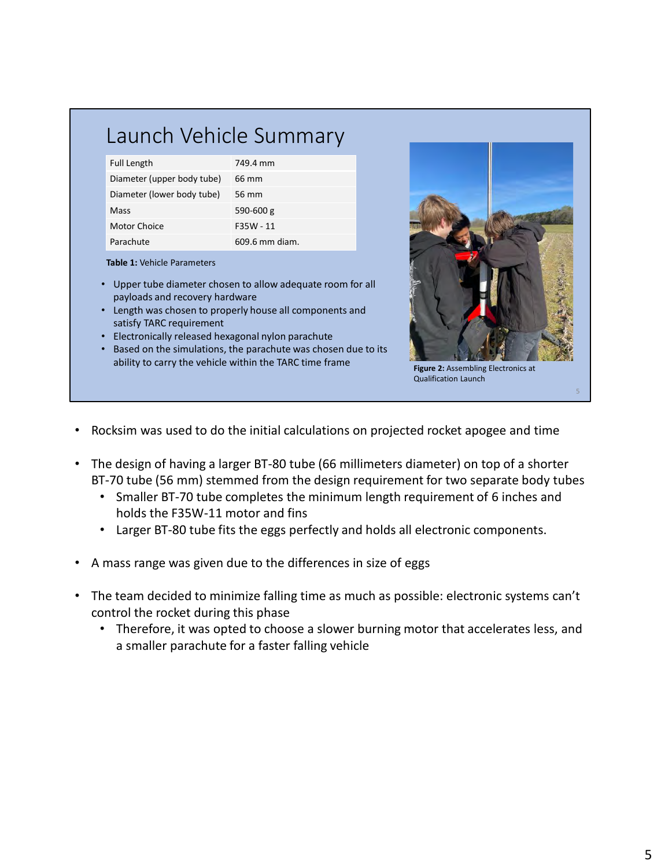## Launch Vehicle Summary

| <b>Full Length</b>         | 749.4 mm       |
|----------------------------|----------------|
| Diameter (upper body tube) | 66 mm          |
| Diameter (lower body tube) | 56 mm          |
| Mass                       | $590 - 600$ g  |
| Motor Choice               | F35W - 11      |
| Parachute                  | 609.6 mm diam. |

**Table 1:** Vehicle Parameters

- Upper tube diameter chosen to allow adequate room for all payloads and recovery hardware
- Length was chosen to properly house all components and satisfy TARC requirement
- Electronically released hexagonal nylon parachute
- Based on the simulations, the parachute was chosen due to its ability to carry the vehicle within the TARC time frame



Qualification Launch

- Rocksim was used to do the initial calculations on projected rocket apogee and time
- The design of having a larger BT-80 tube (66 millimeters diameter) on top of a shorter BT-70 tube (56 mm) stemmed from the design requirement for two separate body tubes
	- Smaller BT-70 tube completes the minimum length requirement of 6 inches and holds the F35W-11 motor and fins
	- Larger BT-80 tube fits the eggs perfectly and holds all electronic components.
- A mass range was given due to the differences in size of eggs
- The team decided to minimize falling time as much as possible: electronic systems can't control the rocket during this phase
	- Therefore, it was opted to choose a slower burning motor that accelerates less, and a smaller parachute for a faster falling vehicle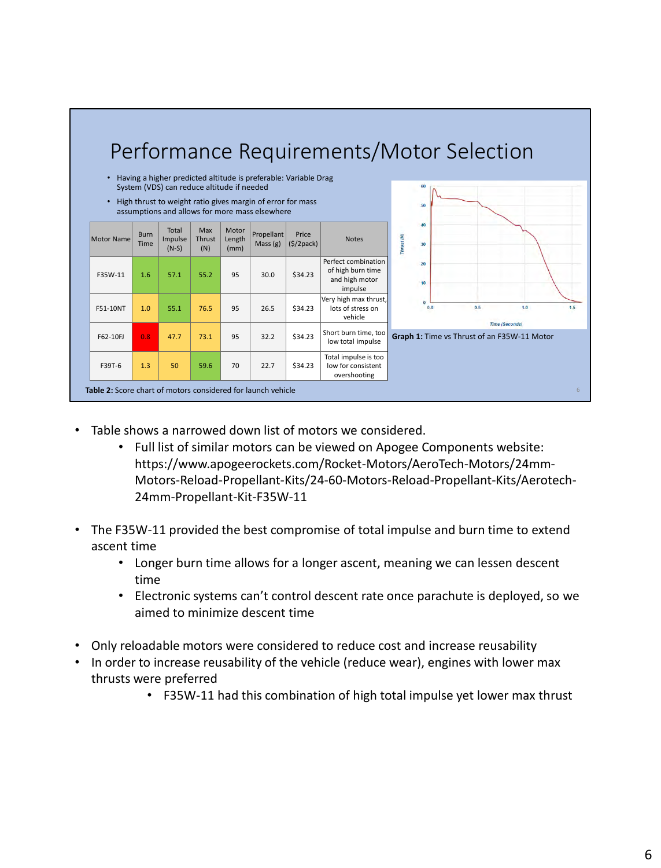

- Table shows a narrowed down list of motors we considered.
	- Full list of similar motors can be viewed on Apogee Components website: https://www.apogeerockets.com/Rocket-Motors/AeroTech-Motors/24mm-Motors-Reload-Propellant-Kits/24-60-Motors-Reload-Propellant-Kits/Aerotech-24mm-Propellant-Kit-F35W-11
- The F35W-11 provided the best compromise of total impulse and burn time to extend ascent time
	- Longer burn time allows for a longer ascent, meaning we can lessen descent time
	- Electronic systems can't control descent rate once parachute is deployed, so we aimed to minimize descent time
- Only reloadable motors were considered to reduce cost and increase reusability
- In order to increase reusability of the vehicle (reduce wear), engines with lower max thrusts were preferred
	- F35W-11 had this combination of high total impulse yet lower max thrust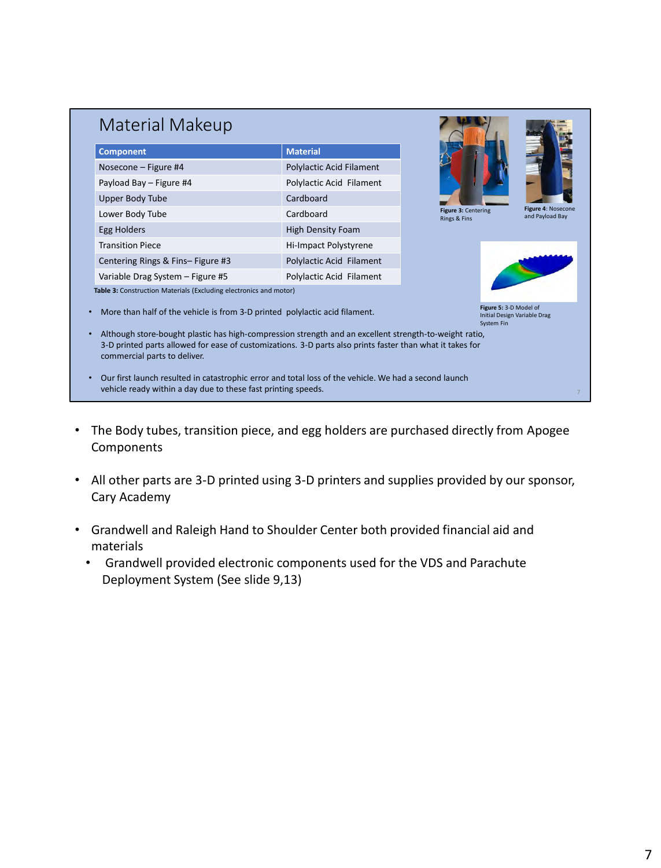| <b>Component</b>                                                                                                                                                                                                                                    | <b>Material</b>          |                                      |                                       |
|-----------------------------------------------------------------------------------------------------------------------------------------------------------------------------------------------------------------------------------------------------|--------------------------|--------------------------------------|---------------------------------------|
| Nosecone - Figure #4                                                                                                                                                                                                                                | Polylactic Acid Filament |                                      |                                       |
| Payload Bay - Figure #4                                                                                                                                                                                                                             | Polylactic Acid Filament |                                      |                                       |
| Upper Body Tube                                                                                                                                                                                                                                     | Cardboard                |                                      |                                       |
| Lower Body Tube                                                                                                                                                                                                                                     | Cardboard                | Figure 3: Centering<br>Rings & Fins  | Figure 4: Nosecone<br>and Payload Bay |
| Egg Holders                                                                                                                                                                                                                                         | <b>High Density Foam</b> |                                      |                                       |
| <b>Transition Piece</b>                                                                                                                                                                                                                             | Hi-Impact Polystyrene    |                                      |                                       |
| Centering Rings & Fins-Figure #3                                                                                                                                                                                                                    | Polylactic Acid Filament |                                      |                                       |
| Variable Drag System - Figure #5                                                                                                                                                                                                                    | Polylactic Acid Filament |                                      |                                       |
| Table 3: Construction Materials (Excluding electronics and motor)                                                                                                                                                                                   |                          |                                      |                                       |
| More than half of the vehicle is from 3-D printed polylactic acid filament.                                                                                                                                                                         |                          | Figure 5: 3-D Model of<br>System Fin | Initial Design Variable Drag          |
| Although store-bought plastic has high-compression strength and an excellent strength-to-weight ratio,<br>3-D printed parts allowed for ease of customizations. 3-D parts also prints faster than what it takes for<br>commercial parts to deliver. |                          |                                      |                                       |

- The Body tubes, transition piece, and egg holders are purchased directly from Apogee Components
- All other parts are 3-D printed using 3-D printers and supplies provided by our sponsor, Cary Academy
- Grandwell and Raleigh Hand to Shoulder Center both provided financial aid and materials
	- Grandwell provided electronic components used for the VDS and Parachute Deployment System (See slide 9,13)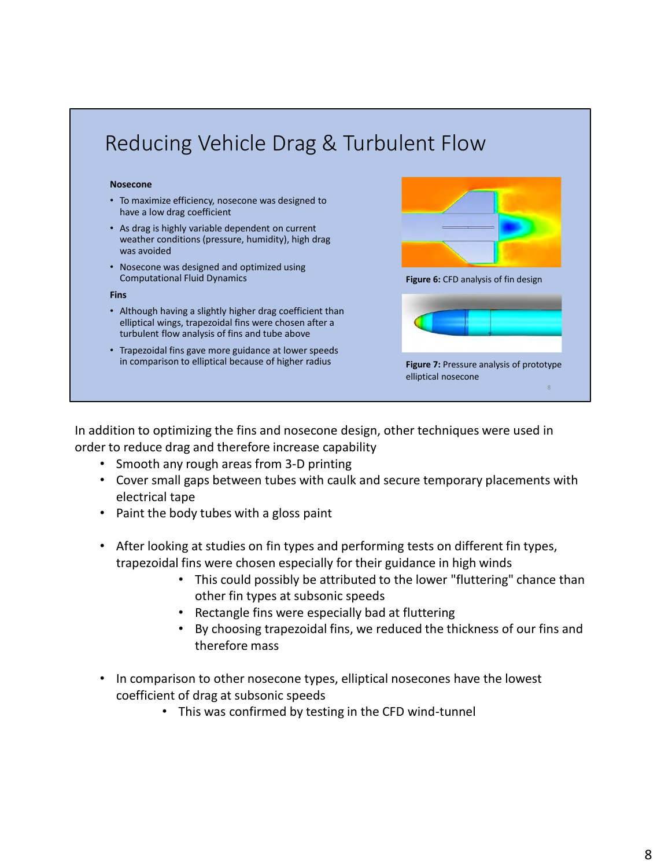

In addition to optimizing the fins and nosecone design, other techniques were used in order to reduce drag and therefore increase capability

- Smooth any rough areas from 3-D printing
- Cover small gaps between tubes with caulk and secure temporary placements with electrical tape
- Paint the body tubes with a gloss paint
- After looking at studies on fin types and performing tests on different fin types, trapezoidal fins were chosen especially for their guidance in high winds
	- This could possibly be attributed to the lower "fluttering" chance than other fin types at subsonic speeds
	- Rectangle fins were especially bad at fluttering
	- By choosing trapezoidal fins, we reduced the thickness of our fins and therefore mass
- In comparison to other nosecone types, elliptical nosecones have the lowest coefficient of drag at subsonic speeds
	- This was confirmed by testing in the CFD wind-tunnel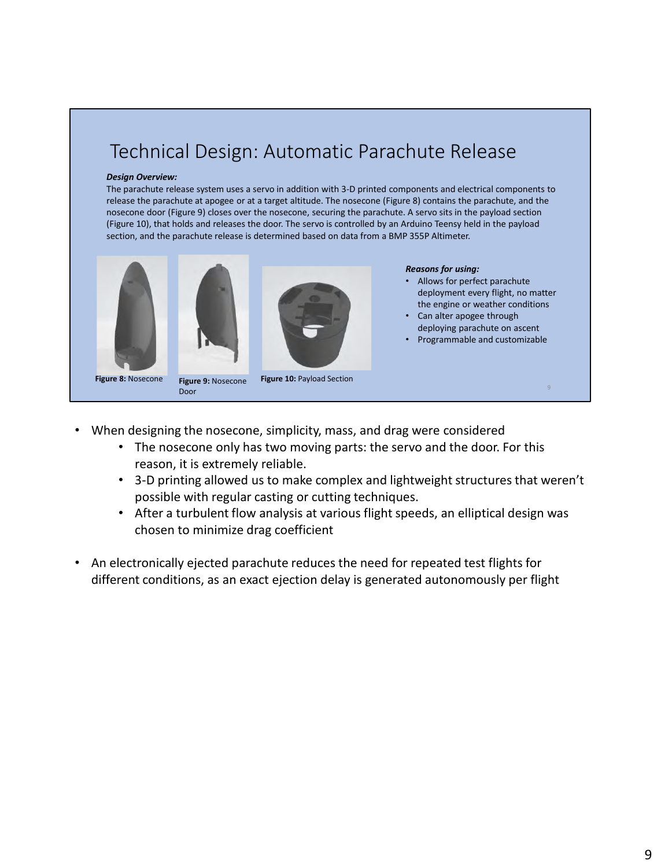### Technical Design: Automatic Parachute Release

#### *Design Overview:*

The parachute release system uses a servo in addition with 3-D printed components and electrical components to release the parachute at apogee or at a target altitude. The nosecone (Figure 8) contains the parachute, and the nosecone door (Figure 9) closes over the nosecone, securing the parachute. A servo sits in the payload section (Figure 10), that holds and releases the door. The servo is controlled by an Arduino Teensy held in the payload section, and the parachute release is determined based on data from a BMP 355P Altimeter.







#### *Reasons for using:*

- Allows for perfect parachute deployment every flight, no matter the engine or weather conditions
- Can alter apogee through deploying parachute on ascent
- Programmable and customizable

Door

**Figure 10:** Payload Section

- When designing the nosecone, simplicity, mass, and drag were considered
	- The nosecone only has two moving parts: the servo and the door. For this reason, it is extremely reliable.
	- 3-D printing allowed us to make complex and lightweight structures that weren't possible with regular casting or cutting techniques.
	- After a turbulent flow analysis at various flight speeds, an elliptical design was chosen to minimize drag coefficient
- An electronically ejected parachute reduces the need for repeated test flights for different conditions, as an exact ejection delay is generated autonomously per flight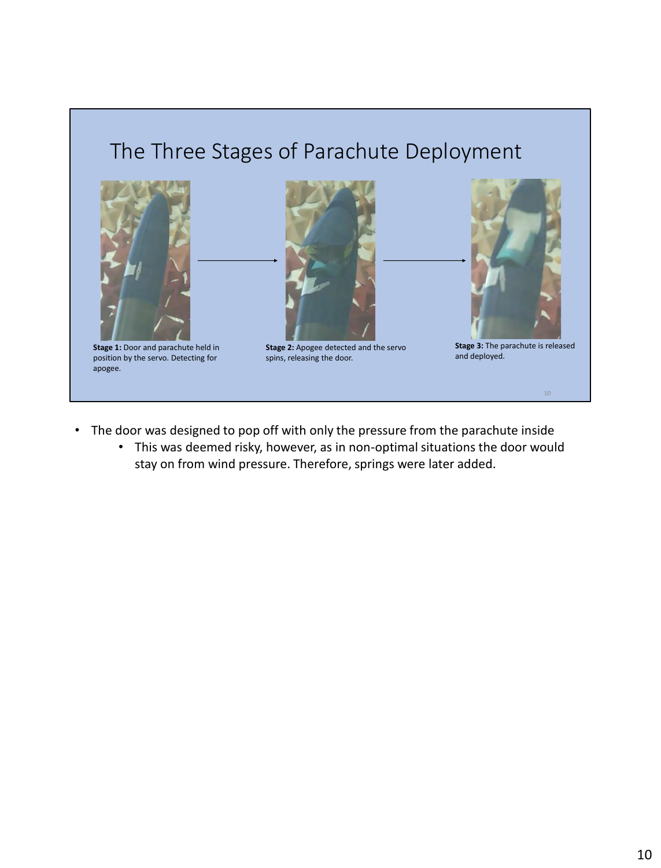## The Three Stages of Parachute Deployment



**Stage 1: Door and parachute held in** position by the servo. Detecting for apogee.



**Stage 2:** Apogee detected and the servo spins, releasing the door.



**Stage 3:** The parachute is released and deployed.

- The door was designed to pop off with only the pressure from the parachute inside
	- This was deemed risky, however, as in non-optimal situations the door would stay on from wind pressure. Therefore, springs were later added.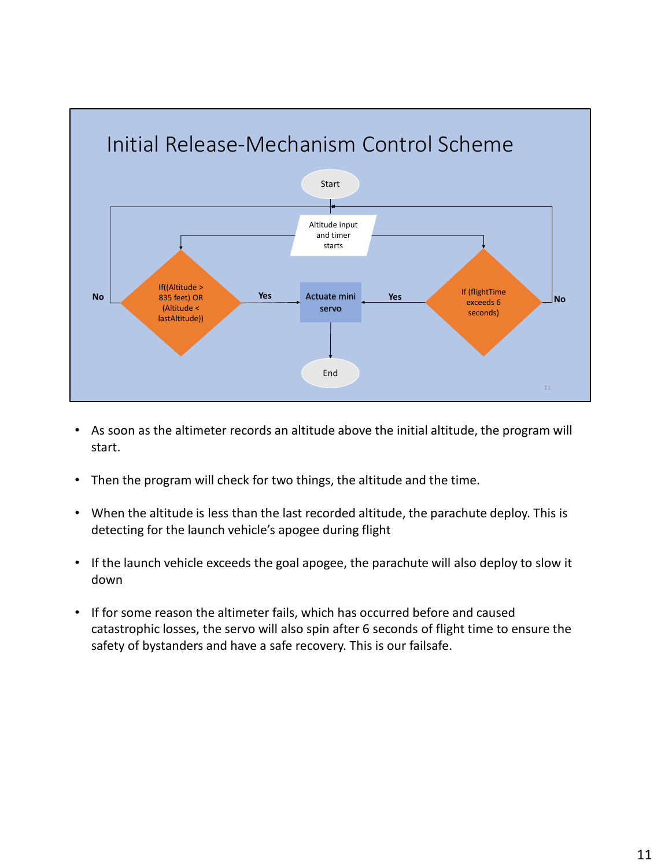

- As soon as the altimeter records an altitude above the initial altitude, the program will start.
- Then the program will check for two things, the altitude and the time.
- When the altitude is less than the last recorded altitude, the parachute deploy. This is detecting for the launch vehicle's apogee during flight
- If the launch vehicle exceeds the goal apogee, the parachute will also deploy to slow it down
- If for some reason the altimeter fails, which has occurred before and caused catastrophic losses, the servo will also spin after 6 seconds of flight time to ensure the safety of bystanders and have a safe recovery. This is our failsafe.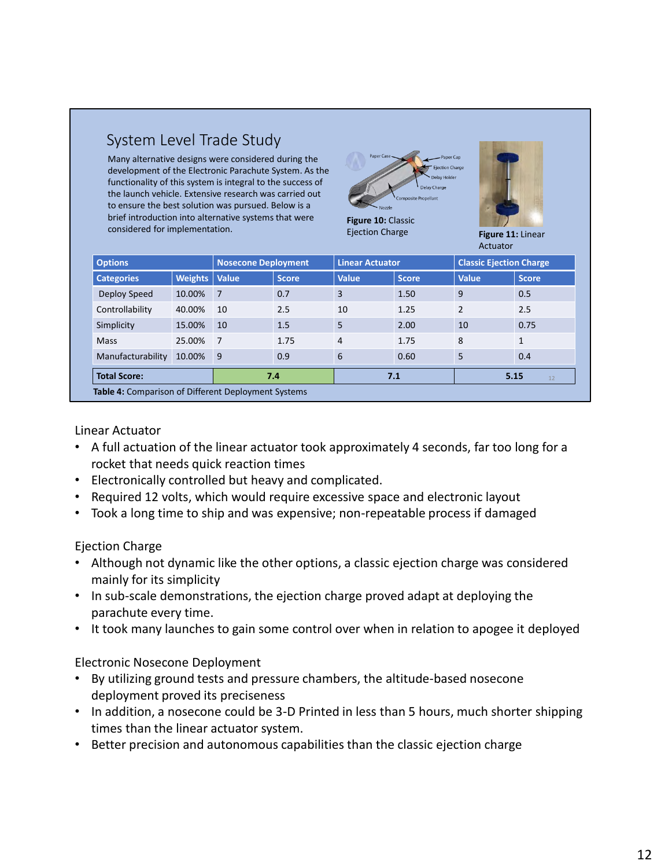|  | System Level Trade Study |
|--|--------------------------|
|--|--------------------------|

Many alternative designs were considered during the development of the Electronic Parachute System. As the functionality of this system is integral to the success of the launch vehicle. Extensive research was carried out to ensure the best solution was pursued. Below is a brief introduction into alternative systems that were considered for implementation.





Ejection Charge **Figure 11:** Linear

Actuator

| <b>Options</b>                                      |                      | <b>Nosecone Deployment</b> |              | <b>Linear Actuator</b> |              | <b>Classic Ejection Charge</b> |              |
|-----------------------------------------------------|----------------------|----------------------------|--------------|------------------------|--------------|--------------------------------|--------------|
| <b>Categories</b>                                   | <b>Weights Value</b> |                            | <b>Score</b> | <b>Value</b>           | <b>Score</b> | <b>Value</b>                   | <b>Score</b> |
| Deploy Speed                                        | 10.00%               | $\overline{7}$             | 0.7          | 3                      | 1.50         | 9                              | 0.5          |
| Controllability                                     | 40.00%               | 10                         | 2.5          | 10                     | 1.25         | $\overline{2}$                 | 2.5          |
| Simplicity                                          | 15.00%               | 10                         | 1.5          | 5                      | 2.00         | 10                             | 0.75         |
| Mass                                                | 25.00%               | $\overline{7}$             | 1.75         | 4                      | 1.75         | 8                              | $\mathbf{1}$ |
| Manufacturability                                   | 10.00%               | $\overline{9}$             | 0.9          | 6                      | 0.60         | 5                              | 0.4          |
| <b>Total Score:</b>                                 |                      |                            | 7.4          | 7.1                    |              | 5.15<br>12                     |              |
| Table 4: Comparison of Different Deployment Systems |                      |                            |              |                        |              |                                |              |

### Linear Actuator

- A full actuation of the linear actuator took approximately 4 seconds, far too long for a rocket that needs quick reaction times
- Electronically controlled but heavy and complicated.
- Required 12 volts, which would require excessive space and electronic layout
- Took a long time to ship and was expensive; non-repeatable process if damaged

### Ejection Charge

- Although not dynamic like the other options, a classic ejection charge was considered mainly for its simplicity
- In sub-scale demonstrations, the ejection charge proved adapt at deploying the parachute every time.
- It took many launches to gain some control over when in relation to apogee it deployed

### Electronic Nosecone Deployment

- By utilizing ground tests and pressure chambers, the altitude-based nosecone deployment proved its preciseness
- In addition, a nosecone could be 3-D Printed in less than 5 hours, much shorter shipping times than the linear actuator system.
- Better precision and autonomous capabilities than the classic ejection charge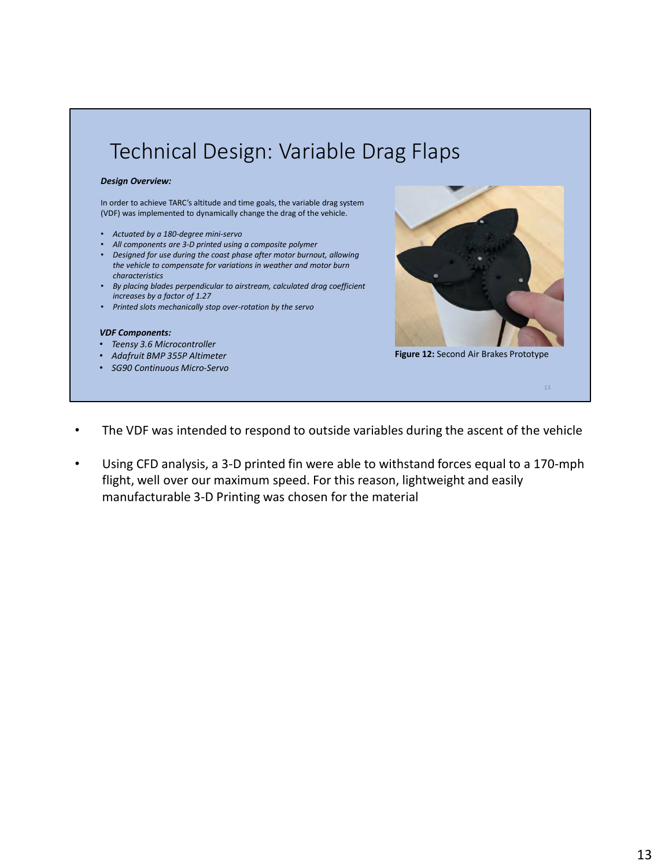# Technical Design: Variable Drag Flaps

### *Design Overview:*

In order to achieve TARC's altitude and time goals, the variable drag system (VDF) was implemented to dynamically change the drag of the vehicle.

- *Actuated by a 180-degree mini-servo*
- *All components are 3-D printed using a composite polymer*
- *Designed for use during the coast phase after motor burnout, allowing the vehicle to compensate for variations in weather and motor burn characteristics*
- *By placing blades perpendicular to airstream, calculated drag coefficient increases by a factor of 1.27*
- *Printed slots mechanically stop over-rotation by the servo*

#### *VDF Components:*

- *Teensy 3.6 Microcontroller*
- *Adafruit BMP 355P Altimeter*
- *SG90 Continuous Micro-Servo*



**Figure 12:** Second Air Brakes Prototype

- The VDF was intended to respond to outside variables during the ascent of the vehicle
- Using CFD analysis, a 3-D printed fin were able to withstand forces equal to a 170-mph flight, well over our maximum speed. For this reason, lightweight and easily manufacturable 3-D Printing was chosen for the material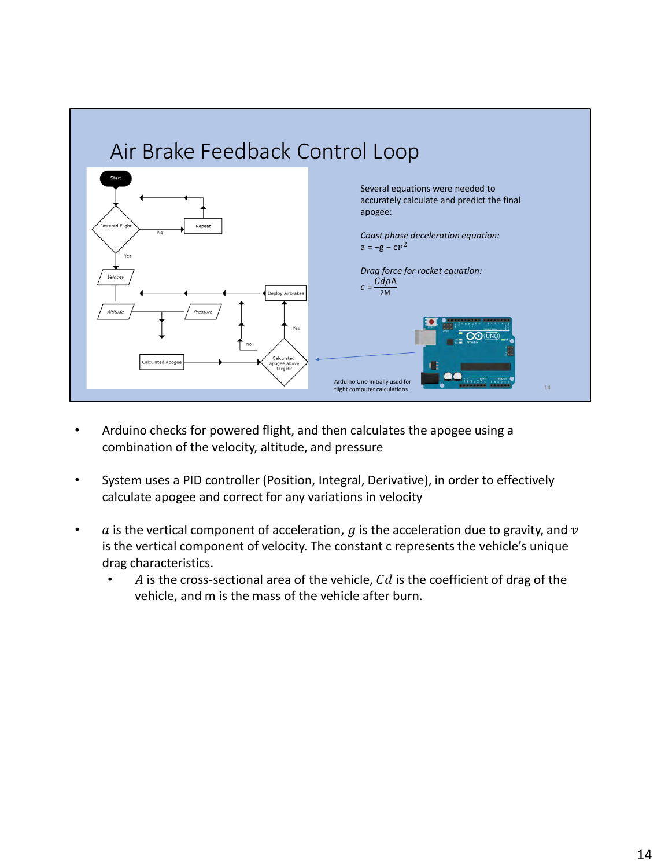

- Arduino checks for powered flight, and then calculates the apogee using a combination of the velocity, altitude, and pressure
- System uses a PID controller (Position, Integral, Derivative), in order to effectively calculate apogee and correct for any variations in velocity
- $\alpha$  is the vertical component of acceleration, g is the acceleration due to gravity, and v is the vertical component of velocity. The constant c represents the vehicle's unique drag characteristics.
	- A is the cross-sectional area of the vehicle,  $Cd$  is the coefficient of drag of the vehicle, and m is the mass of the vehicle after burn.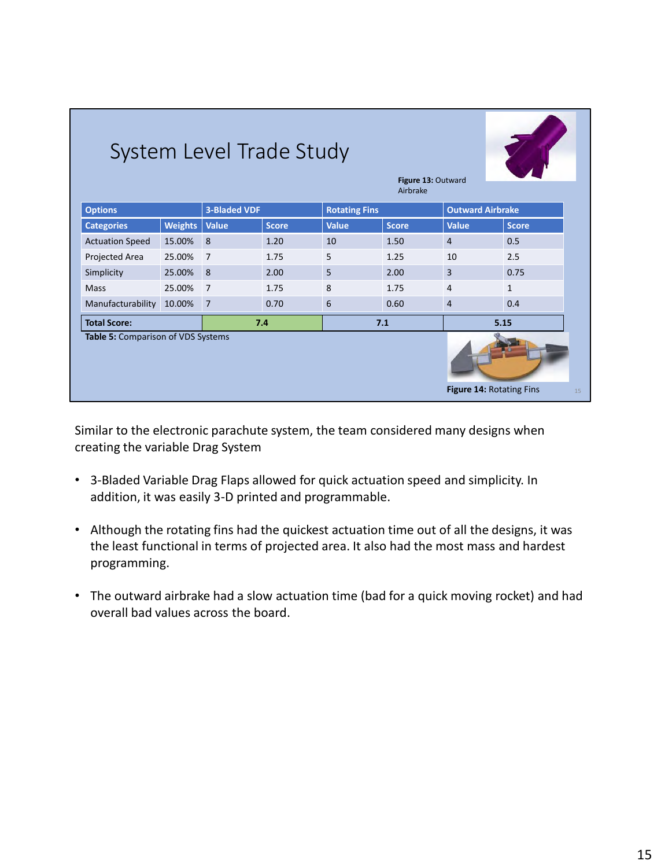| System Level Trade Study<br>Figure 13: Outward<br>Airbrake           |                |                     |              |                      |              |                         |              |
|----------------------------------------------------------------------|----------------|---------------------|--------------|----------------------|--------------|-------------------------|--------------|
| <b>Options</b>                                                       |                | <b>3-Bladed VDF</b> |              | <b>Rotating Fins</b> |              | <b>Outward Airbrake</b> |              |
| <b>Categories</b>                                                    | <b>Weights</b> | <b>Value</b>        | <b>Score</b> | <b>Value</b>         | <b>Score</b> | <b>Value</b>            | <b>Score</b> |
| <b>Actuation Speed</b>                                               | 15.00%         | 8                   | 1.20         | 10                   | 1.50         | $\overline{4}$          | 0.5          |
| Projected Area                                                       | 25.00%         | $\overline{7}$      | 1.75         | 5                    | 1.25         | 10                      | 2.5          |
| Simplicity                                                           | 25.00%         | 8                   | 2.00         | 5                    | 2.00         | 3                       | 0.75         |
| Mass                                                                 | 25.00%         | $\overline{7}$      | 1.75         | 8                    | 1.75         | 4                       | $\mathbf{1}$ |
| Manufacturability                                                    | 10.00%         | $\overline{7}$      | 0.70         | 6                    | 0.60         | $\overline{4}$          | 0.4          |
| <b>Total Score:</b><br>7.4                                           |                |                     | 7.1          |                      | 5.15         |                         |              |
| Table 5: Comparison of VDS Systems<br>Figure 14: Rotating Fins<br>15 |                |                     |              |                      |              |                         |              |

Similar to the electronic parachute system, the team considered many designs when creating the variable Drag System

- 3-Bladed Variable Drag Flaps allowed for quick actuation speed and simplicity. In addition, it was easily 3-D printed and programmable.
- Although the rotating fins had the quickest actuation time out of all the designs, it was the least functional in terms of projected area. It also had the most mass and hardest programming.
- The outward airbrake had a slow actuation time (bad for a quick moving rocket) and had overall bad values across the board.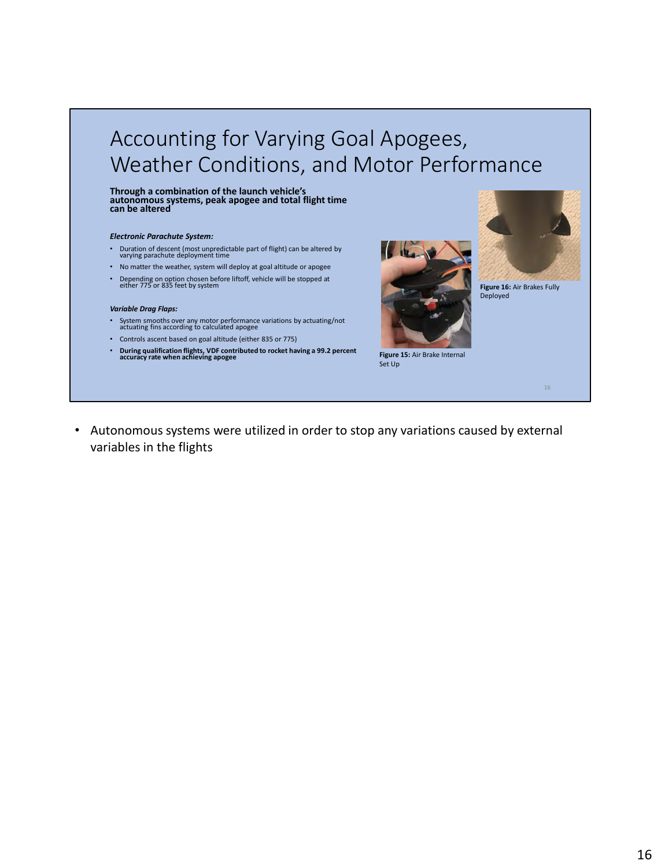# Accounting for Varying Goal Apogees, Weather Conditions, and Motor Performance

**Through a combination of the launch vehicle's autonomous systems, peak apogee and total flight time can be altered**

#### *Electronic Parachute System:*

- Duration of descent (most unpredictable part of flight) can be altered by varying parachute deployment time
- No matter the weather, system will deploy at goal altitude or apogee
- Depending on option chosen before liftoff, vehicle will be stopped at either 775 or 835 feet by system

#### *Variable Drag Flaps:*

- System smooths over any motor performance variations by actuating/not actuating fins according to calculated apogee
- Controls ascent based on goal altitude (either 835 or 775)
- **During qualification flights, VDF contributed to rocket having a 99.2 percent accuracy rate when achieving apogee**





**Figure 16:** Air Brakes Fully Deployed

**Figure 15:** Air Brake Internal Set Up

• Autonomous systems were utilized in order to stop any variations caused by external variables in the flights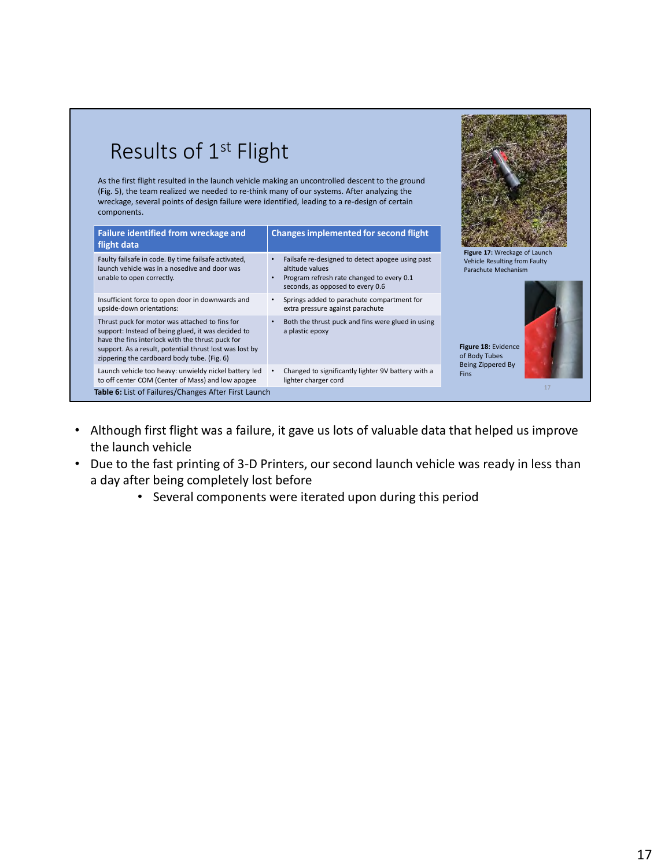| Results of 1 <sup>st</sup> Flight<br>As the first flight resulted in the launch vehicle making an uncontrolled descent to the ground<br>(Fig. 5), the team realized we needed to re-think many of our systems. After analyzing the<br>wreckage, several points of design failure were identified, leading to a re-design of certain<br>components. |                                                                                                                                                                   |                                                                                       |
|----------------------------------------------------------------------------------------------------------------------------------------------------------------------------------------------------------------------------------------------------------------------------------------------------------------------------------------------------|-------------------------------------------------------------------------------------------------------------------------------------------------------------------|---------------------------------------------------------------------------------------|
| Failure identified from wreckage and<br>flight data                                                                                                                                                                                                                                                                                                | <b>Changes implemented for second flight</b>                                                                                                                      |                                                                                       |
| Faulty failsafe in code. By time failsafe activated,<br>launch vehicle was in a nosedive and door was<br>unable to open correctly.                                                                                                                                                                                                                 | Failsafe re-designed to detect apogee using past<br>$\bullet$<br>altitude values<br>Program refresh rate changed to every 0.1<br>seconds, as opposed to every 0.6 | Figure 17: Wreckage of Launch<br>Vehicle Resulting from Faulty<br>Parachute Mechanism |
| Insufficient force to open door in downwards and<br>upside-down orientations:                                                                                                                                                                                                                                                                      | Springs added to parachute compartment for<br>$\bullet$<br>extra pressure against parachute                                                                       |                                                                                       |
| Thrust puck for motor was attached to fins for<br>support: Instead of being glued, it was decided to<br>have the fins interlock with the thrust puck for<br>support. As a result, potential thrust lost was lost by<br>zippering the cardboard body tube. (Fig. 6)                                                                                 | Both the thrust puck and fins were glued in using<br>$\bullet$<br>a plastic epoxy                                                                                 | Figure 18: Evidence<br>of Body Tubes                                                  |
| Launch vehicle too heavy: unwieldy nickel battery led<br>to off center COM (Center of Mass) and low apogee                                                                                                                                                                                                                                         | Changed to significantly lighter 9V battery with a<br>lighter charger cord                                                                                        | Being Zippered By<br><b>Fins</b>                                                      |

- Although first flight was a failure, it gave us lots of valuable data that helped us improve the launch vehicle
- Due to the fast printing of 3-D Printers, our second launch vehicle was ready in less than a day after being completely lost before
	- Several components were iterated upon during this period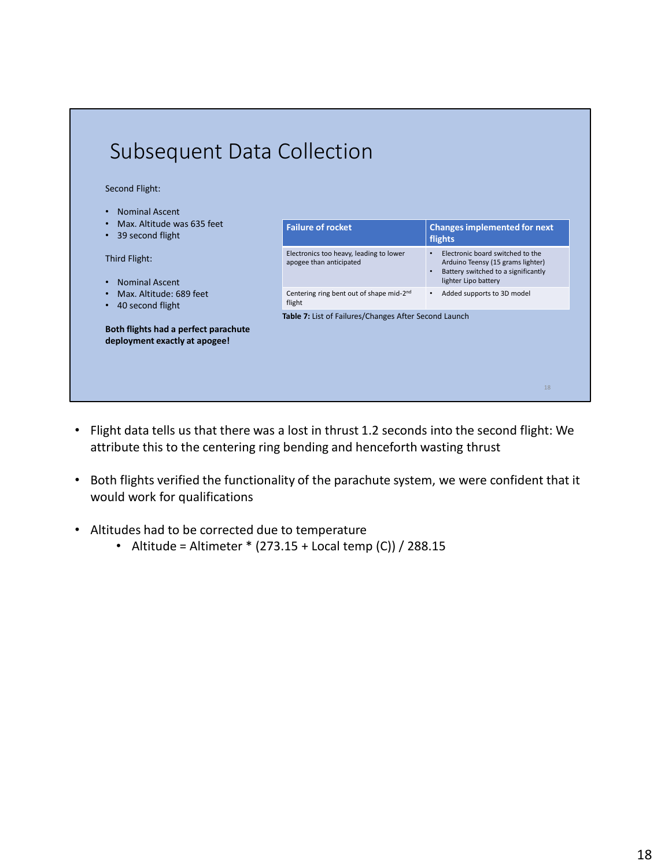

- Flight data tells us that there was a lost in thrust 1.2 seconds into the second flight: We attribute this to the centering ring bending and henceforth wasting thrust
- Both flights verified the functionality of the parachute system, we were confident that it would work for qualifications
- Altitudes had to be corrected due to temperature
	- Altitude = Altimeter  $*$  (273.15 + Local temp (C)) / 288.15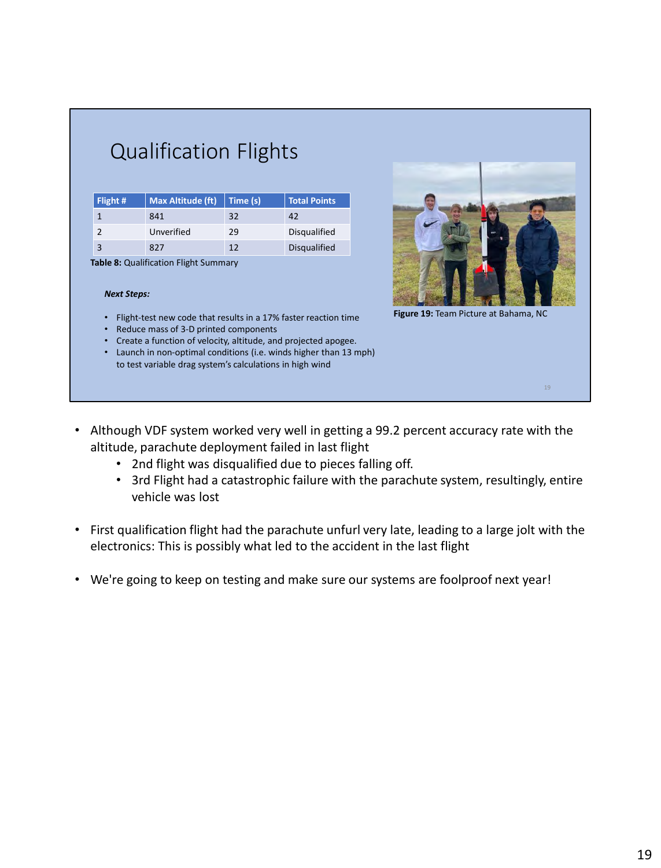| Flight #       | <b>Max Altitude (ft)</b> | Time (s) | <b>Total Points</b> |
|----------------|--------------------------|----------|---------------------|
|                | 841                      | 32       | 42                  |
| $\mathfrak{p}$ | Unverified               | 29       | Disqualified        |
| 3              | 827                      | 12       | <b>Disqualified</b> |
|                |                          |          |                     |

Qualification Flights

**Table 8:** Qualification Flight Summary

### *Next Steps:*

- Flight-test new code that results in a 17% faster reaction time
- Reduce mass of 3-D printed components
- Create a function of velocity, altitude, and projected apogee.
- Launch in non-optimal conditions (i.e. winds higher than 13 mph) to test variable drag system's calculations in high wind
- 

**Figure 19:** Team Picture at Bahama, NC

- Although VDF system worked very well in getting a 99.2 percent accuracy rate with the altitude, parachute deployment failed in last flight
	- 2nd flight was disqualified due to pieces falling off.
	- 3rd Flight had a catastrophic failure with the parachute system, resultingly, entire vehicle was lost
- First qualification flight had the parachute unfurl very late, leading to a large jolt with the electronics: This is possibly what led to the accident in the last flight
- We're going to keep on testing and make sure our systems are foolproof next year!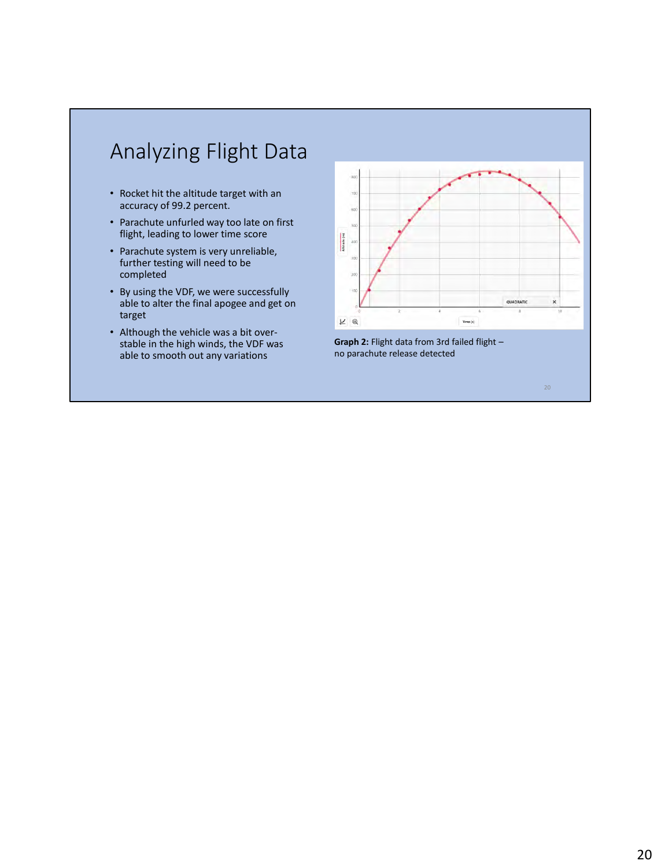## Analyzing Flight Data

- Rocket hit the altitude target with an accuracy of 99.2 percent.
- Parachute unfurled way too late on first flight, leading to lower time score
- Parachute system is very unreliable, further testing will need to be completed
- By using the VDF, we were successfully able to alter the final apogee and get on target
- Although the vehicle was a bit overstable in the high winds, the VDF was able to smooth out any variations